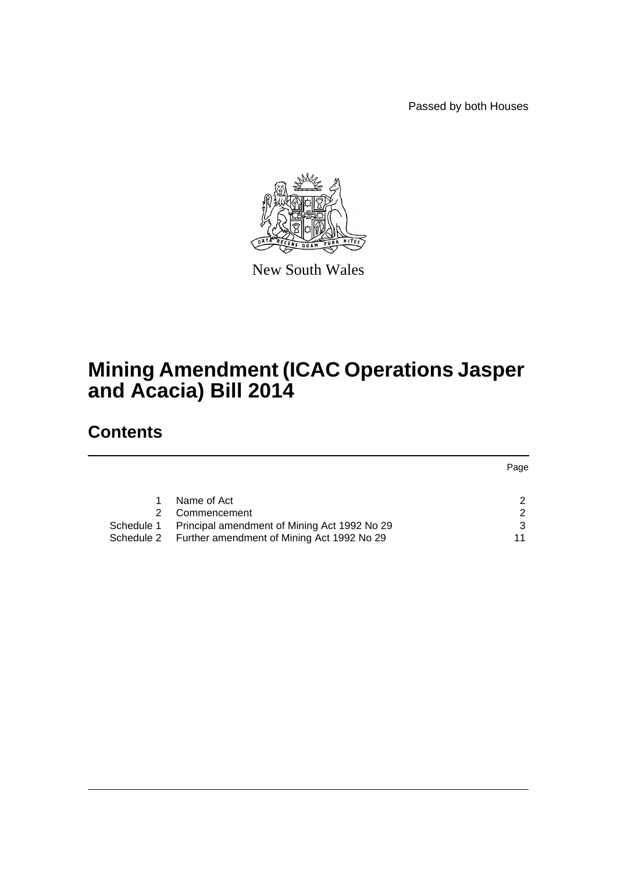Passed by both Houses



New South Wales

# **Mining Amendment (ICAC Operations Jasper and Acacia) Bill 2014**

# **Contents**

|            |                                                       | Page |
|------------|-------------------------------------------------------|------|
|            |                                                       |      |
|            | Name of Act                                           |      |
|            | Commencement                                          |      |
| Schedule 1 | Principal amendment of Mining Act 1992 No 29          |      |
|            | Schedule 2 Further amendment of Mining Act 1992 No 29 | 11   |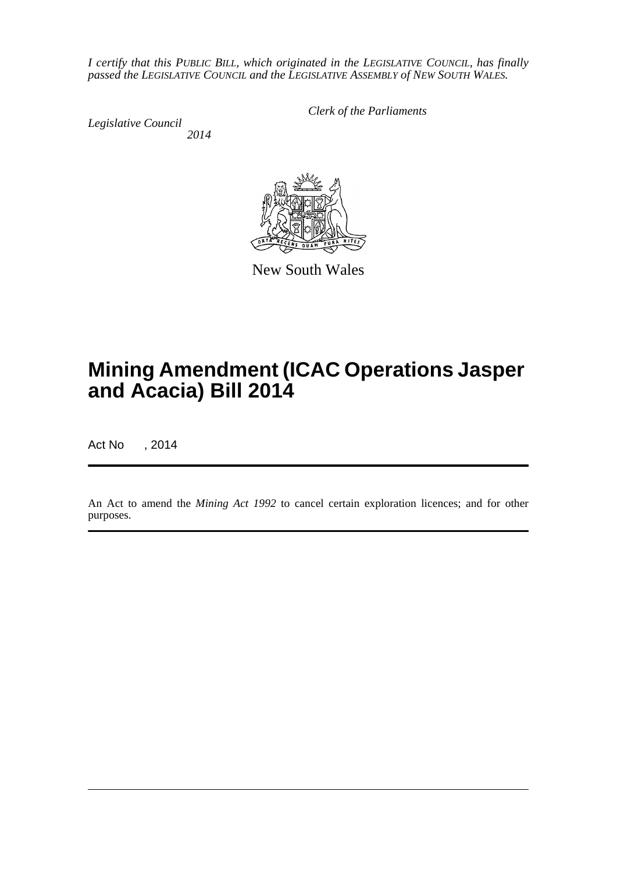*I certify that this PUBLIC BILL, which originated in the LEGISLATIVE COUNCIL, has finally passed the LEGISLATIVE COUNCIL and the LEGISLATIVE ASSEMBLY of NEW SOUTH WALES.*

*Legislative Council 2014* *Clerk of the Parliaments*



New South Wales

# **Mining Amendment (ICAC Operations Jasper and Acacia) Bill 2014**

Act No , 2014

An Act to amend the *Mining Act 1992* to cancel certain exploration licences; and for other purposes.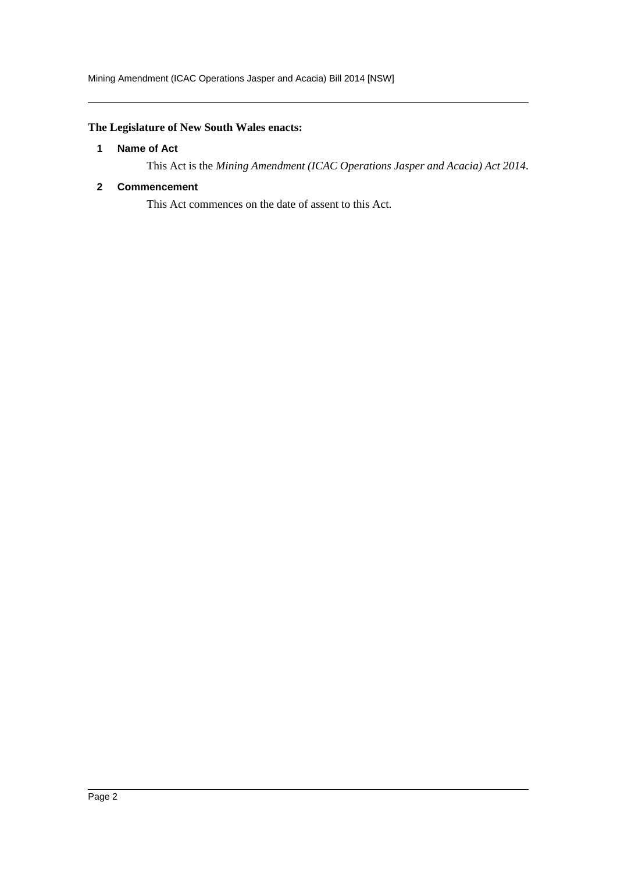# <span id="page-2-0"></span>**The Legislature of New South Wales enacts:**

#### **1 Name of Act**

This Act is the *Mining Amendment (ICAC Operations Jasper and Acacia) Act 2014*.

### <span id="page-2-1"></span>**2 Commencement**

This Act commences on the date of assent to this Act.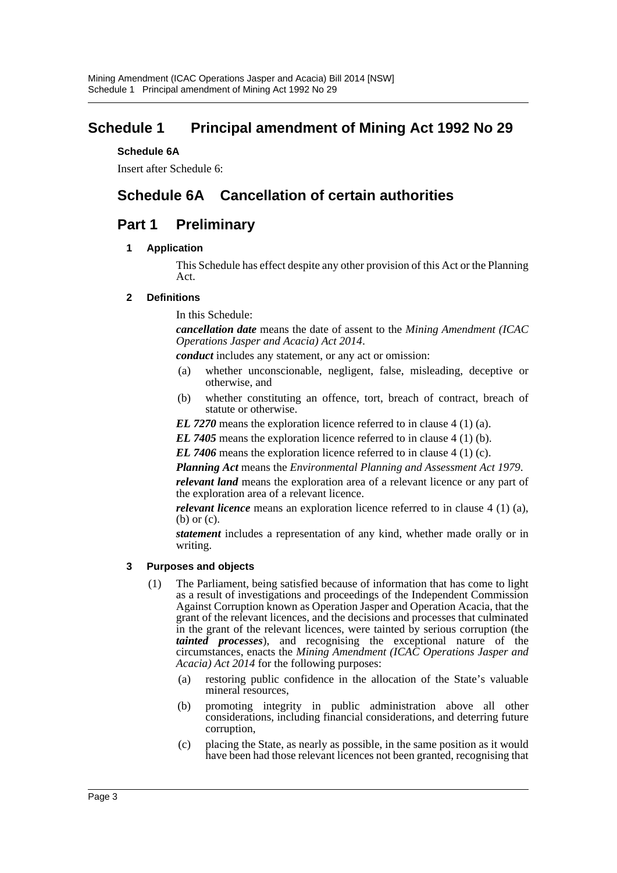# <span id="page-3-0"></span>**Schedule 1 Principal amendment of Mining Act 1992 No 29**

### **Schedule 6A**

Insert after Schedule 6:

# **Schedule 6A Cancellation of certain authorities**

# **Part 1 Preliminary**

### **1 Application**

This Schedule has effect despite any other provision of this Act or the Planning Act.

### **2 Definitions**

In this Schedule:

*cancellation date* means the date of assent to the *Mining Amendment (ICAC Operations Jasper and Acacia) Act 2014*.

*conduct* includes any statement, or any act or omission:

- (a) whether unconscionable, negligent, false, misleading, deceptive or otherwise, and
- (b) whether constituting an offence, tort, breach of contract, breach of statute or otherwise.

*EL 7270* means the exploration licence referred to in clause 4 (1) (a).

*EL 7405* means the exploration licence referred to in clause 4 (1) (b).

*EL 7406* means the exploration licence referred to in clause 4 (1) (c).

*Planning Act* means the *Environmental Planning and Assessment Act 1979*.

*relevant land* means the exploration area of a relevant licence or any part of the exploration area of a relevant licence.

*relevant licence* means an exploration licence referred to in clause 4 (1) (a), (b) or (c).

*statement* includes a representation of any kind, whether made orally or in writing.

#### **3 Purposes and objects**

- (1) The Parliament, being satisfied because of information that has come to light as a result of investigations and proceedings of the Independent Commission Against Corruption known as Operation Jasper and Operation Acacia, that the grant of the relevant licences, and the decisions and processes that culminated in the grant of the relevant licences, were tainted by serious corruption (the *tainted processes*), and recognising the exceptional nature of the circumstances, enacts the *Mining Amendment (ICAC Operations Jasper and Acacia) Act 2014* for the following purposes:
	- (a) restoring public confidence in the allocation of the State's valuable mineral resources,
	- (b) promoting integrity in public administration above all other considerations, including financial considerations, and deterring future corruption,
	- (c) placing the State, as nearly as possible, in the same position as it would have been had those relevant licences not been granted, recognising that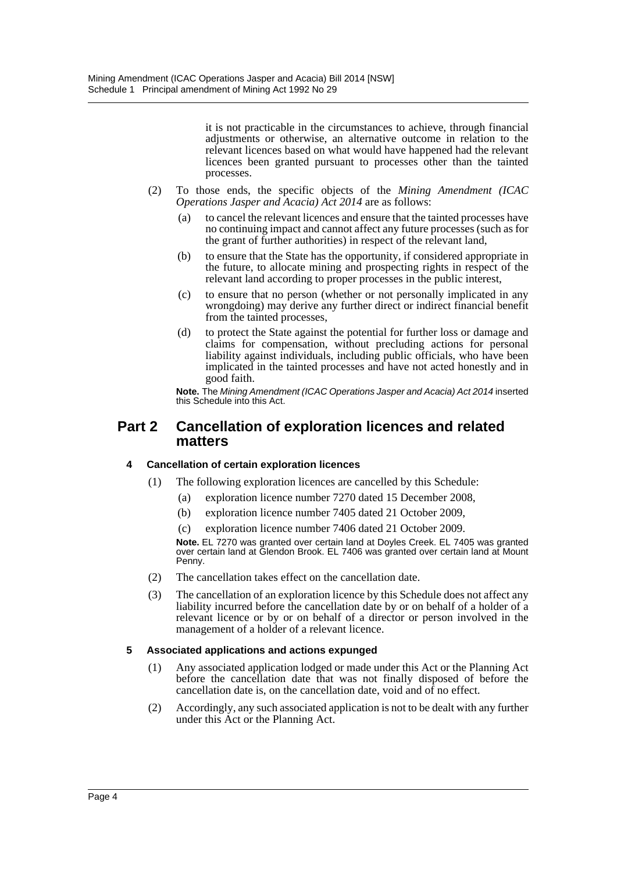it is not practicable in the circumstances to achieve, through financial adjustments or otherwise, an alternative outcome in relation to the relevant licences based on what would have happened had the relevant licences been granted pursuant to processes other than the tainted processes.

- (2) To those ends, the specific objects of the *Mining Amendment (ICAC Operations Jasper and Acacia) Act 2014* are as follows:
	- (a) to cancel the relevant licences and ensure that the tainted processes have no continuing impact and cannot affect any future processes (such as for the grant of further authorities) in respect of the relevant land,
	- (b) to ensure that the State has the opportunity, if considered appropriate in the future, to allocate mining and prospecting rights in respect of the relevant land according to proper processes in the public interest,
	- (c) to ensure that no person (whether or not personally implicated in any wrongdoing) may derive any further direct or indirect financial benefit from the tainted processes,
	- (d) to protect the State against the potential for further loss or damage and claims for compensation, without precluding actions for personal liability against individuals, including public officials, who have been implicated in the tainted processes and have not acted honestly and in good faith.

**Note.** The *Mining Amendment (ICAC Operations Jasper and Acacia) Act 2014* inserted this Schedule into this Act.

# **Part 2 Cancellation of exploration licences and related matters**

## **4 Cancellation of certain exploration licences**

- (1) The following exploration licences are cancelled by this Schedule:
	- (a) exploration licence number 7270 dated 15 December 2008,
	- (b) exploration licence number 7405 dated 21 October 2009,
	- (c) exploration licence number 7406 dated 21 October 2009.

**Note.** EL 7270 was granted over certain land at Doyles Creek. EL 7405 was granted over certain land at Glendon Brook. EL 7406 was granted over certain land at Mount Penny.

- (2) The cancellation takes effect on the cancellation date.
- (3) The cancellation of an exploration licence by this Schedule does not affect any liability incurred before the cancellation date by or on behalf of a holder of a relevant licence or by or on behalf of a director or person involved in the management of a holder of a relevant licence.

#### **5 Associated applications and actions expunged**

- (1) Any associated application lodged or made under this Act or the Planning Act before the cancellation date that was not finally disposed of before the cancellation date is, on the cancellation date, void and of no effect.
- (2) Accordingly, any such associated application is not to be dealt with any further under this Act or the Planning Act.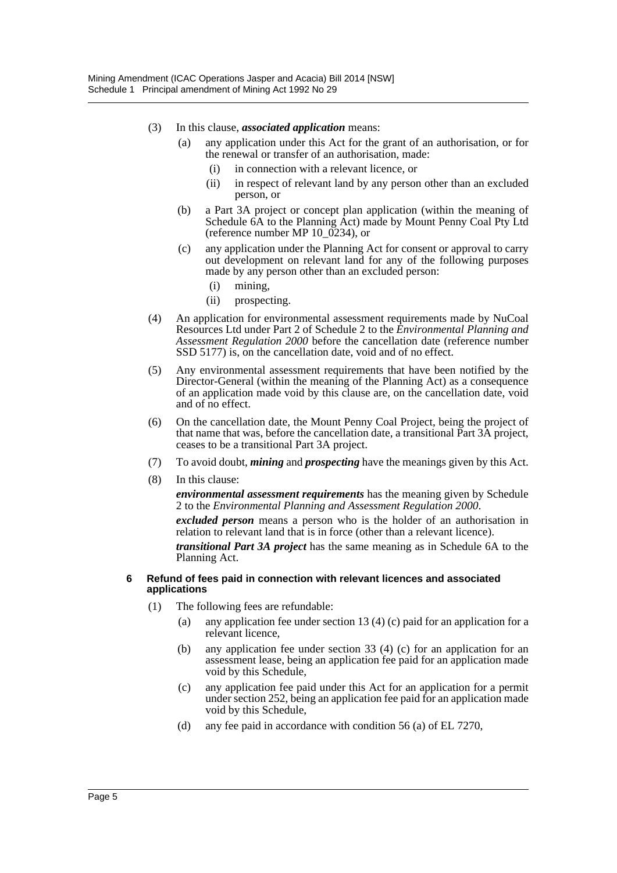- (3) In this clause, *associated application* means:
	- (a) any application under this Act for the grant of an authorisation, or for the renewal or transfer of an authorisation, made:
		- (i) in connection with a relevant licence, or
		- (ii) in respect of relevant land by any person other than an excluded person, or
	- (b) a Part 3A project or concept plan application (within the meaning of Schedule 6A to the Planning Act) made by Mount Penny Coal Pty Ltd (reference number MP 10\_0234), or
	- (c) any application under the Planning Act for consent or approval to carry out development on relevant land for any of the following purposes made by any person other than an excluded person:
		- (i) mining,
		- (ii) prospecting.
- (4) An application for environmental assessment requirements made by NuCoal Resources Ltd under Part 2 of Schedule 2 to the *Environmental Planning and Assessment Regulation 2000* before the cancellation date (reference number SSD 5177) is, on the cancellation date, void and of no effect.
- (5) Any environmental assessment requirements that have been notified by the Director-General (within the meaning of the Planning Act) as a consequence of an application made void by this clause are, on the cancellation date, void and of no effect.
- (6) On the cancellation date, the Mount Penny Coal Project, being the project of that name that was, before the cancellation date, a transitional Part 3A project, ceases to be a transitional Part 3A project.
- (7) To avoid doubt, *mining* and *prospecting* have the meanings given by this Act.
- (8) In this clause:

*environmental assessment requirements* has the meaning given by Schedule 2 to the *Environmental Planning and Assessment Regulation 2000*.

*excluded person* means a person who is the holder of an authorisation in relation to relevant land that is in force (other than a relevant licence).

*transitional Part 3A project* has the same meaning as in Schedule 6A to the Planning Act.

#### **6 Refund of fees paid in connection with relevant licences and associated applications**

- (1) The following fees are refundable:
	- (a) any application fee under section 13 (4) (c) paid for an application for a relevant licence,
	- (b) any application fee under section 33 (4) (c) for an application for an assessment lease, being an application fee paid for an application made void by this Schedule,
	- (c) any application fee paid under this Act for an application for a permit under section 252, being an application fee paid for an application made void by this Schedule,
	- (d) any fee paid in accordance with condition 56 (a) of EL 7270,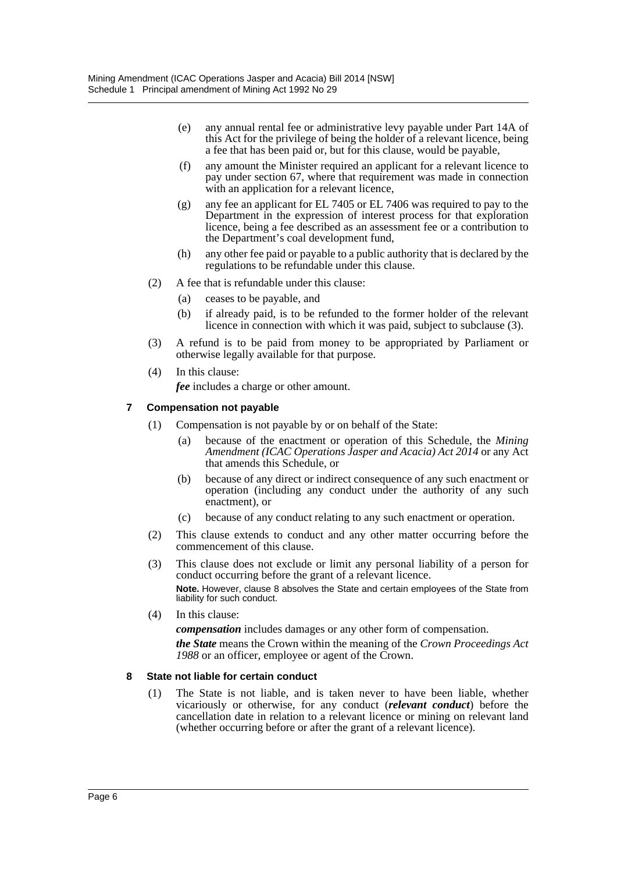- (e) any annual rental fee or administrative levy payable under Part 14A of this Act for the privilege of being the holder of a relevant licence, being a fee that has been paid or, but for this clause, would be payable,
- (f) any amount the Minister required an applicant for a relevant licence to pay under section 67, where that requirement was made in connection with an application for a relevant licence.
- (g) any fee an applicant for EL 7405 or EL 7406 was required to pay to the Department in the expression of interest process for that exploration licence, being a fee described as an assessment fee or a contribution to the Department's coal development fund,
- (h) any other fee paid or payable to a public authority that is declared by the regulations to be refundable under this clause.
- (2) A fee that is refundable under this clause:
	- (a) ceases to be payable, and
	- (b) if already paid, is to be refunded to the former holder of the relevant licence in connection with which it was paid, subject to subclause (3).
- (3) A refund is to be paid from money to be appropriated by Parliament or otherwise legally available for that purpose.
- (4) In this clause:

*fee* includes a charge or other amount.

### **7 Compensation not payable**

- (1) Compensation is not payable by or on behalf of the State:
	- (a) because of the enactment or operation of this Schedule, the *Mining Amendment (ICAC Operations Jasper and Acacia) Act 2014* or any Act that amends this Schedule, or
	- (b) because of any direct or indirect consequence of any such enactment or operation (including any conduct under the authority of any such enactment), or
	- (c) because of any conduct relating to any such enactment or operation.
- (2) This clause extends to conduct and any other matter occurring before the commencement of this clause.
- (3) This clause does not exclude or limit any personal liability of a person for conduct occurring before the grant of a relevant licence. **Note.** However, clause 8 absolves the State and certain employees of the State from

liability for such conduct.

(4) In this clause: *compensation* includes damages or any other form of compensation.

*the State* means the Crown within the meaning of the *Crown Proceedings Act 1988* or an officer, employee or agent of the Crown.

#### **8 State not liable for certain conduct**

(1) The State is not liable, and is taken never to have been liable, whether vicariously or otherwise, for any conduct (*relevant conduct*) before the cancellation date in relation to a relevant licence or mining on relevant land (whether occurring before or after the grant of a relevant licence).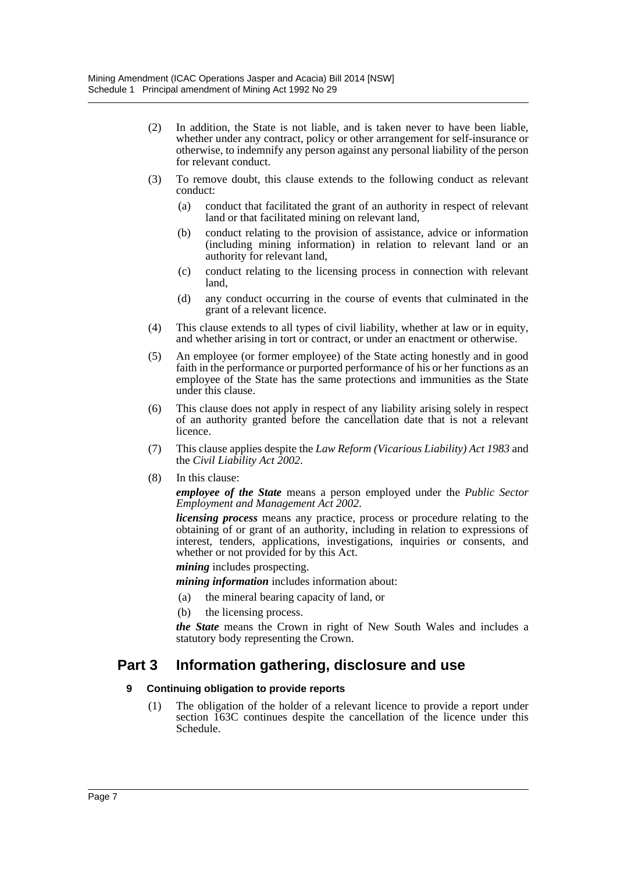- (2) In addition, the State is not liable, and is taken never to have been liable, whether under any contract, policy or other arrangement for self-insurance or otherwise, to indemnify any person against any personal liability of the person for relevant conduct.
- (3) To remove doubt, this clause extends to the following conduct as relevant conduct:
	- (a) conduct that facilitated the grant of an authority in respect of relevant land or that facilitated mining on relevant land,
	- (b) conduct relating to the provision of assistance, advice or information (including mining information) in relation to relevant land or an authority for relevant land,
	- (c) conduct relating to the licensing process in connection with relevant land,
	- (d) any conduct occurring in the course of events that culminated in the grant of a relevant licence.
- (4) This clause extends to all types of civil liability, whether at law or in equity, and whether arising in tort or contract, or under an enactment or otherwise.
- (5) An employee (or former employee) of the State acting honestly and in good faith in the performance or purported performance of his or her functions as an employee of the State has the same protections and immunities as the State under this clause.
- (6) This clause does not apply in respect of any liability arising solely in respect of an authority granted before the cancellation date that is not a relevant licence.
- (7) This clause applies despite the *Law Reform (Vicarious Liability) Act 1983* and the *Civil Liability Act 2002*.
- (8) In this clause:

*employee of the State* means a person employed under the *Public Sector Employment and Management Act 2002*.

*licensing process* means any practice, process or procedure relating to the obtaining of or grant of an authority, including in relation to expressions of interest, tenders, applications, investigations, inquiries or consents, and whether or not provided for by this Act.

*mining* includes prospecting.

*mining information* includes information about:

- (a) the mineral bearing capacity of land, or
- (b) the licensing process.

*the State* means the Crown in right of New South Wales and includes a statutory body representing the Crown.

# **Part 3 Information gathering, disclosure and use**

## **9 Continuing obligation to provide reports**

(1) The obligation of the holder of a relevant licence to provide a report under section 163C continues despite the cancellation of the licence under this Schedule.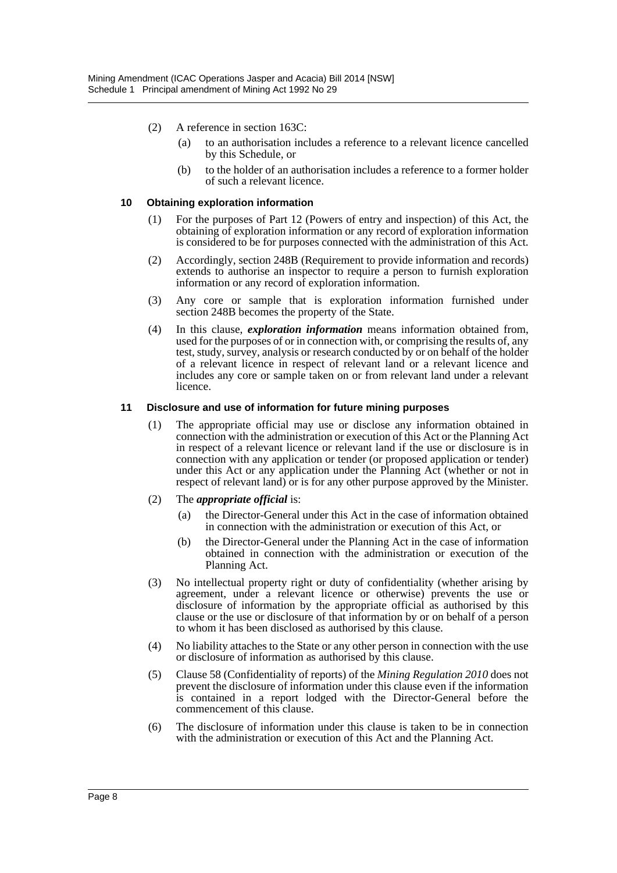- (2) A reference in section 163C:
	- (a) to an authorisation includes a reference to a relevant licence cancelled by this Schedule, or
	- (b) to the holder of an authorisation includes a reference to a former holder of such a relevant licence.

#### **10 Obtaining exploration information**

- (1) For the purposes of Part 12 (Powers of entry and inspection) of this Act, the obtaining of exploration information or any record of exploration information is considered to be for purposes connected with the administration of this Act.
- (2) Accordingly, section 248B (Requirement to provide information and records) extends to authorise an inspector to require a person to furnish exploration information or any record of exploration information.
- (3) Any core or sample that is exploration information furnished under section 248B becomes the property of the State.
- (4) In this clause, *exploration information* means information obtained from, used for the purposes of or in connection with, or comprising the results of, any test, study, survey, analysis or research conducted by or on behalf of the holder of a relevant licence in respect of relevant land or a relevant licence and includes any core or sample taken on or from relevant land under a relevant licence.

#### **11 Disclosure and use of information for future mining purposes**

(1) The appropriate official may use or disclose any information obtained in connection with the administration or execution of this Act or the Planning Act in respect of a relevant licence or relevant land if the use or disclosure is in connection with any application or tender (or proposed application or tender) under this Act or any application under the Planning Act (whether or not in respect of relevant land) or is for any other purpose approved by the Minister.

#### (2) The *appropriate official* is:

- (a) the Director-General under this Act in the case of information obtained in connection with the administration or execution of this Act, or
- (b) the Director-General under the Planning Act in the case of information obtained in connection with the administration or execution of the Planning Act.
- (3) No intellectual property right or duty of confidentiality (whether arising by agreement, under a relevant licence or otherwise) prevents the use or disclosure of information by the appropriate official as authorised by this clause or the use or disclosure of that information by or on behalf of a person to whom it has been disclosed as authorised by this clause.
- (4) No liability attaches to the State or any other person in connection with the use or disclosure of information as authorised by this clause.
- (5) Clause 58 (Confidentiality of reports) of the *Mining Regulation 2010* does not prevent the disclosure of information under this clause even if the information is contained in a report lodged with the Director-General before the commencement of this clause.
- (6) The disclosure of information under this clause is taken to be in connection with the administration or execution of this Act and the Planning Act.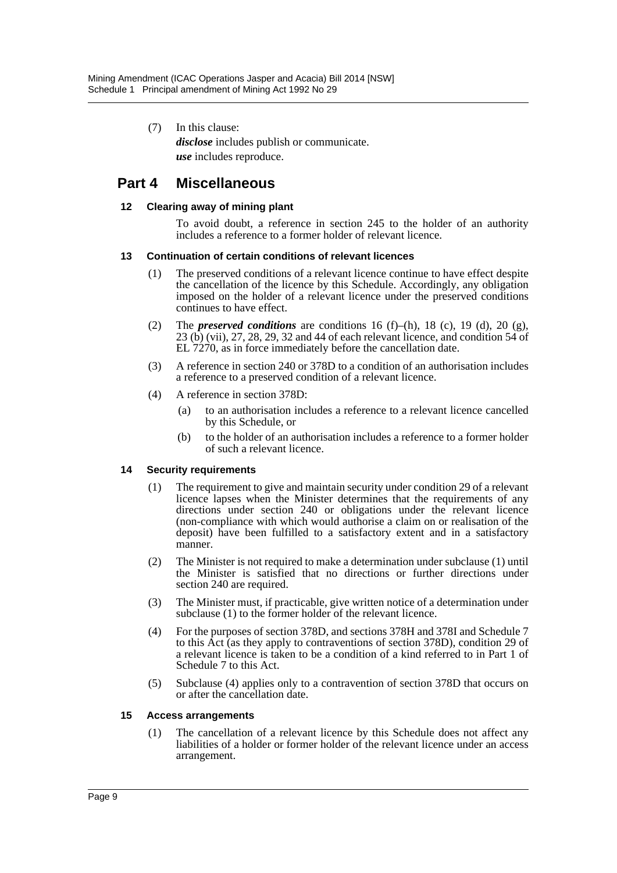(7) In this clause: *disclose* includes publish or communicate. *use* includes reproduce.

# **Part 4 Miscellaneous**

### **12 Clearing away of mining plant**

To avoid doubt, a reference in section 245 to the holder of an authority includes a reference to a former holder of relevant licence.

#### **13 Continuation of certain conditions of relevant licences**

- (1) The preserved conditions of a relevant licence continue to have effect despite the cancellation of the licence by this Schedule. Accordingly, any obligation imposed on the holder of a relevant licence under the preserved conditions continues to have effect.
- (2) The *preserved conditions* are conditions  $16$  (f)–(h),  $18$  (c),  $19$  (d),  $20$  (g), 23 (b) (vii), 27, 28, 29, 32 and 44 of each relevant licence, and condition 54 of EL 7270, as in force immediately before the cancellation date.
- (3) A reference in section 240 or 378D to a condition of an authorisation includes a reference to a preserved condition of a relevant licence.
- (4) A reference in section 378D:
	- (a) to an authorisation includes a reference to a relevant licence cancelled by this Schedule, or
	- (b) to the holder of an authorisation includes a reference to a former holder of such a relevant licence.

## **14 Security requirements**

- (1) The requirement to give and maintain security under condition 29 of a relevant licence lapses when the Minister determines that the requirements of any directions under section 240 or obligations under the relevant licence (non-compliance with which would authorise a claim on or realisation of the deposit) have been fulfilled to a satisfactory extent and in a satisfactory manner.
- (2) The Minister is not required to make a determination under subclause (1) until the Minister is satisfied that no directions or further directions under section 240 are required.
- (3) The Minister must, if practicable, give written notice of a determination under subclause (1) to the former holder of the relevant licence.
- (4) For the purposes of section 378D, and sections 378H and 378I and Schedule 7 to this Act (as they apply to contraventions of section 378D), condition 29 of a relevant licence is taken to be a condition of a kind referred to in Part 1 of Schedule 7 to this Act.
- (5) Subclause (4) applies only to a contravention of section 378D that occurs on or after the cancellation date.

#### **15 Access arrangements**

(1) The cancellation of a relevant licence by this Schedule does not affect any liabilities of a holder or former holder of the relevant licence under an access arrangement.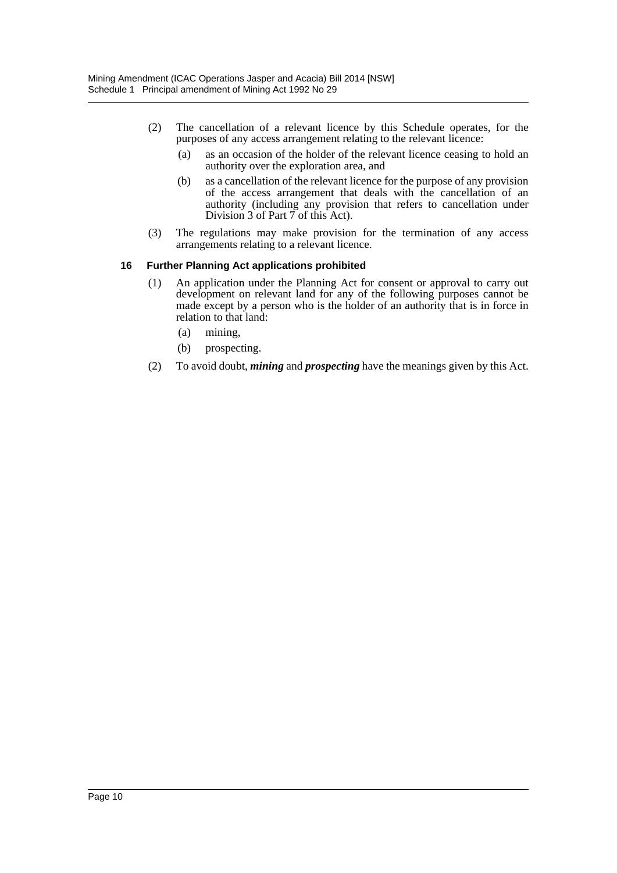- (2) The cancellation of a relevant licence by this Schedule operates, for the purposes of any access arrangement relating to the relevant licence:
	- (a) as an occasion of the holder of the relevant licence ceasing to hold an authority over the exploration area, and
	- (b) as a cancellation of the relevant licence for the purpose of any provision of the access arrangement that deals with the cancellation of an authority (including any provision that refers to cancellation under Division 3 of Part 7 of this Act).
- (3) The regulations may make provision for the termination of any access arrangements relating to a relevant licence.

#### **16 Further Planning Act applications prohibited**

- (1) An application under the Planning Act for consent or approval to carry out development on relevant land for any of the following purposes cannot be made except by a person who is the holder of an authority that is in force in relation to that land:
	- (a) mining,
	- (b) prospecting.
- (2) To avoid doubt, *mining* and *prospecting* have the meanings given by this Act.